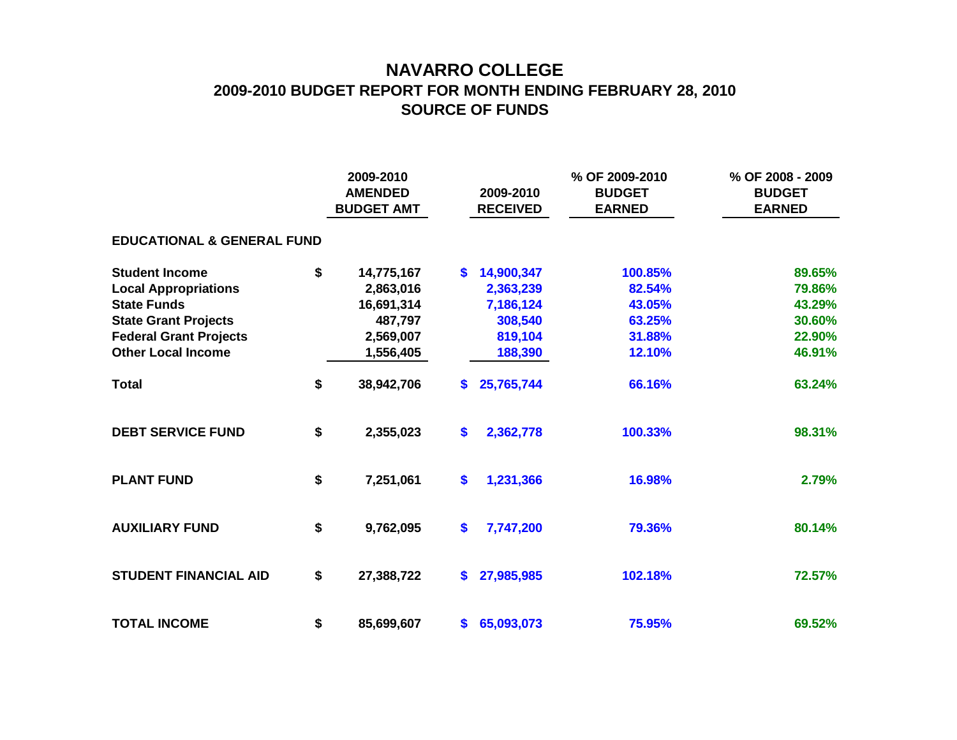## **NAVARRO COLLEGE 2009-2010 BUDGET REPORT FOR MONTH ENDING FEBRUARY 28, 2010 SOURCE OF FUNDS**

|                                       |    | 2009-2010<br><b>AMENDED</b><br><b>BUDGET AMT</b> |               | 2009-2010<br><b>RECEIVED</b> | % OF 2009-2010<br><b>BUDGET</b><br><b>EARNED</b> | % OF 2008 - 2009<br><b>BUDGET</b><br><b>EARNED</b> |  |  |  |  |  |  |
|---------------------------------------|----|--------------------------------------------------|---------------|------------------------------|--------------------------------------------------|----------------------------------------------------|--|--|--|--|--|--|
| <b>EDUCATIONAL &amp; GENERAL FUND</b> |    |                                                  |               |                              |                                                  |                                                    |  |  |  |  |  |  |
| <b>Student Income</b>                 | \$ | 14,775,167                                       | $\mathbf{s}$  | 14,900,347                   | 100.85%                                          | 89.65%                                             |  |  |  |  |  |  |
| <b>Local Appropriations</b>           |    | 2,863,016                                        |               | 2,363,239                    | 82.54%                                           | 79.86%                                             |  |  |  |  |  |  |
| <b>State Funds</b>                    |    | 16,691,314                                       |               | 7,186,124                    | 43.05%                                           | 43.29%                                             |  |  |  |  |  |  |
| <b>State Grant Projects</b>           |    | 487,797                                          |               | 308,540                      | 63.25%                                           | 30.60%                                             |  |  |  |  |  |  |
| <b>Federal Grant Projects</b>         |    | 2,569,007                                        |               | 819,104                      | 31.88%                                           | 22.90%                                             |  |  |  |  |  |  |
| <b>Other Local Income</b>             |    | 1,556,405                                        |               | 188,390                      | 12.10%                                           | 46.91%                                             |  |  |  |  |  |  |
| <b>Total</b>                          | \$ | 38,942,706                                       | <b>S</b>      | 25,765,744                   | 66.16%                                           | 63.24%                                             |  |  |  |  |  |  |
| <b>DEBT SERVICE FUND</b>              | \$ | 2,355,023                                        | \$            | 2,362,778                    | 100.33%                                          | 98.31%                                             |  |  |  |  |  |  |
| <b>PLANT FUND</b>                     | \$ | 7,251,061                                        | \$            | 1,231,366                    | 16.98%                                           | 2.79%                                              |  |  |  |  |  |  |
| <b>AUXILIARY FUND</b>                 | \$ | 9,762,095                                        | \$            | 7,747,200                    | 79.36%                                           | 80.14%                                             |  |  |  |  |  |  |
| <b>STUDENT FINANCIAL AID</b>          | \$ | 27,388,722                                       | \$            | 27,985,985                   | 102.18%                                          | 72.57%                                             |  |  |  |  |  |  |
| <b>TOTAL INCOME</b>                   | \$ | 85,699,607                                       | $\mathbf{\$}$ | 65,093,073                   | 75.95%                                           | 69.52%                                             |  |  |  |  |  |  |